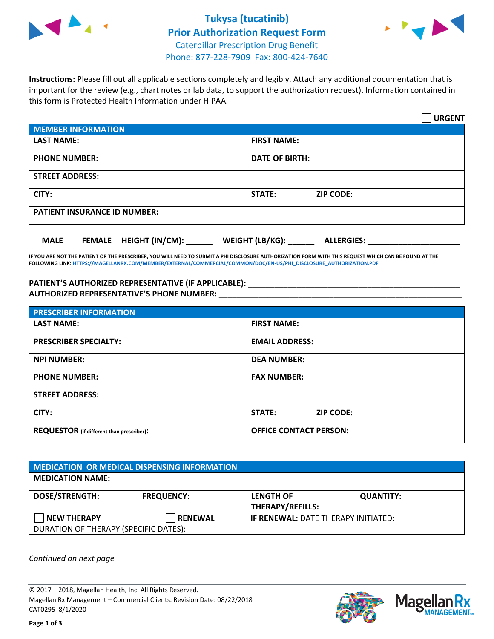

## **Tukysa (tucatinib) Prior Authorization Request Form** Caterpillar Prescription Drug Benefit



Phone: 877-228-7909 Fax: 800-424-7640

**Instructions:** Please fill out all applicable sections completely and legibly. Attach any additional documentation that is important for the review (e.g., chart notes or lab data, to support the authorization request). Information contained in this form is Protected Health Information under HIPAA.

|                                           | <b>URGENT</b>                        |
|-------------------------------------------|--------------------------------------|
| <b>MEMBER INFORMATION</b>                 |                                      |
| <b>LAST NAME:</b>                         | <b>FIRST NAME:</b>                   |
| <b>PHONE NUMBER:</b>                      | <b>DATE OF BIRTH:</b>                |
| <b>STREET ADDRESS:</b>                    |                                      |
| CITY:                                     | <b>STATE:</b><br><b>ZIP CODE:</b>    |
| <b>PATIENT INSURANCE ID NUMBER:</b>       |                                      |
| $\Box$ FEMALE HEIGHT (IN/CM): _<br>  MALE | WEIGHT (LB/KG):<br><b>ALLERGIES:</b> |

**IF YOU ARE NOT THE PATIENT OR THE PRESCRIBER, YOU WILL NEED TO SUBMIT A PHI DISCLOSURE AUTHORIZATION FORM WITH THIS REQUEST WHICH CAN BE FOUND AT THE FOLLOWING LINK[: HTTPS://MAGELLANRX.COM/MEMBER/EXTERNAL/COMMERCIAL/COMMON/DOC/EN-US/PHI\\_DISCLOSURE\\_AUTHORIZATION.PDF](https://magellanrx.com/member/external/commercial/common/doc/en-us/PHI_Disclosure_Authorization.pdf)**

PATIENT'S AUTHORIZED REPRESENTATIVE (IF APPLICABLE): \_\_\_\_\_\_\_\_\_\_\_\_\_\_\_\_\_\_\_\_\_\_\_\_\_\_\_ **AUTHORIZED REPRESENTATIVE'S PHONE NUMBER:** \_\_\_\_\_\_\_\_\_\_\_\_\_\_\_\_\_\_\_\_\_\_\_\_\_\_\_\_\_\_\_\_\_\_\_\_\_\_\_\_\_\_\_\_\_\_\_\_\_\_\_\_\_\_\_

| <b>PRESCRIBER INFORMATION</b>             |                               |  |
|-------------------------------------------|-------------------------------|--|
| <b>LAST NAME:</b>                         | <b>FIRST NAME:</b>            |  |
| <b>PRESCRIBER SPECIALTY:</b>              | <b>EMAIL ADDRESS:</b>         |  |
| <b>NPI NUMBER:</b>                        | <b>DEA NUMBER:</b>            |  |
| <b>PHONE NUMBER:</b>                      | <b>FAX NUMBER:</b>            |  |
| <b>STREET ADDRESS:</b>                    |                               |  |
| CITY:                                     | STATE:<br><b>ZIP CODE:</b>    |  |
| REQUESTOR (if different than prescriber): | <b>OFFICE CONTACT PERSON:</b> |  |

| <b>MEDICATION OR MEDICAL DISPENSING INFORMATION</b> |                   |                                            |                  |  |
|-----------------------------------------------------|-------------------|--------------------------------------------|------------------|--|
| <b>MEDICATION NAME:</b>                             |                   |                                            |                  |  |
| <b>DOSE/STRENGTH:</b>                               | <b>FREQUENCY:</b> | <b>LENGTH OF</b>                           | <b>QUANTITY:</b> |  |
|                                                     |                   | <b>THERAPY/REFILLS:</b>                    |                  |  |
| <b>NEW THERAPY</b>                                  | <b>RENEWAL</b>    | <b>IF RENEWAL: DATE THERAPY INITIATED:</b> |                  |  |
| DURATION OF THERAPY (SPECIFIC DATES):               |                   |                                            |                  |  |

*Continued on next page*

© 2017 – 2018, Magellan Health, Inc. All Rights Reserved. Magellan Rx Management – Commercial Clients. Revision Date: 08/22/2018 CAT0295 8/1/2020



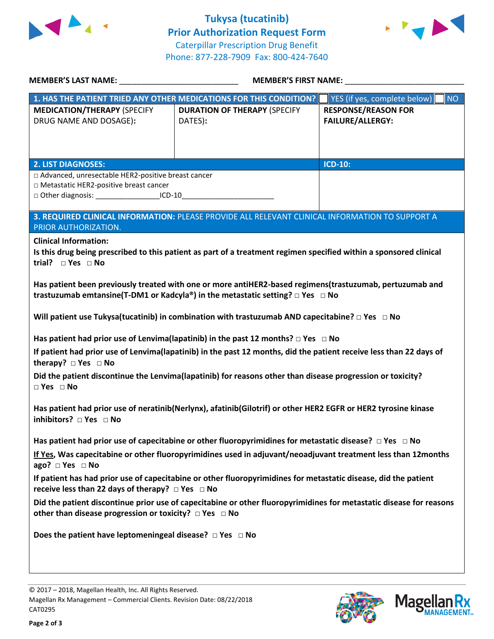

**Tukysa (tucatinib) Prior Authorization Request Form** Caterpillar Prescription Drug Benefit Phone: 877-228-7909 Fax: 800-424-7640



| MEMBER'S LAST NAME: NAMER AND THE RESERVE TO A LABOR 2012                                                                                                                           | <b>MEMBER'S FIRST NAME:</b>                                                                                                                                                                                                    |                                                       |
|-------------------------------------------------------------------------------------------------------------------------------------------------------------------------------------|--------------------------------------------------------------------------------------------------------------------------------------------------------------------------------------------------------------------------------|-------------------------------------------------------|
|                                                                                                                                                                                     | 1. HAS THE PATIENT TRIED ANY OTHER MEDICATIONS FOR THIS CONDITION?                                                                                                                                                             | YES (if yes, complete below)<br><b>NO</b>             |
| <b>MEDICATION/THERAPY (SPECIFY</b><br>DRUG NAME AND DOSAGE):                                                                                                                        | <b>DURATION OF THERAPY (SPECIFY</b><br>DATES):                                                                                                                                                                                 | <b>RESPONSE/REASON FOR</b><br><b>FAILURE/ALLERGY:</b> |
| <b>2. LIST DIAGNOSES:</b>                                                                                                                                                           |                                                                                                                                                                                                                                | <b>ICD-10:</b>                                        |
| □ Advanced, unresectable HER2-positive breast cancer<br>□ Metastatic HER2-positive breast cancer<br>□ Other diagnosis: _____________________ICD-10_________________________________ |                                                                                                                                                                                                                                |                                                       |
| PRIOR AUTHORIZATION.                                                                                                                                                                | 3. REQUIRED CLINICAL INFORMATION: PLEASE PROVIDE ALL RELEVANT CLINICAL INFORMATION TO SUPPORT A                                                                                                                                |                                                       |
| <b>Clinical Information:</b><br>trial? $\square$ Yes $\square$ No                                                                                                                   | Is this drug being prescribed to this patient as part of a treatment regimen specified within a sponsored clinical<br>Has patient been previously treated with one or more antiHER2-based regimens(trastuzumab, pertuzumab and |                                                       |
|                                                                                                                                                                                     | trastuzumab emtansine(T-DM1 or Kadcyla®) in the metastatic setting? $\square$ Yes $\square$ No                                                                                                                                 |                                                       |
|                                                                                                                                                                                     | Will patient use Tukysa(tucatinib) in combination with trastuzumab AND capecitabine? $\Box$ Yes $\Box$ No                                                                                                                      |                                                       |
|                                                                                                                                                                                     | Has patient had prior use of Lenvima(lapatinib) in the past 12 months? $\Box$ Yes $\Box$ No                                                                                                                                    |                                                       |
| therapy? DYes DNo                                                                                                                                                                   | If patient had prior use of Lenvima(lapatinib) in the past 12 months, did the patient receive less than 22 days of                                                                                                             |                                                       |
| $\Box$ Yes $\Box$ No                                                                                                                                                                | Did the patient discontinue the Lenvima(lapatinib) for reasons other than disease progression or toxicity?                                                                                                                     |                                                       |
| inhibitors? $\Box$ Yes $\Box$ No                                                                                                                                                    | Has patient had prior use of neratinib(Nerlynx), afatinib(Gilotrif) or other HER2 EGFR or HER2 tyrosine kinase                                                                                                                 |                                                       |
|                                                                                                                                                                                     | Has patient had prior use of capecitabine or other fluoropyrimidines for metastatic disease? $\Box$ Yes $\Box$ No                                                                                                              |                                                       |
| ago? □ Yes □ No                                                                                                                                                                     | If Yes, Was capecitabine or other fluoropyrimidines used in adjuvant/neoadjuvant treatment less than 12months                                                                                                                  |                                                       |
| receive less than 22 days of therapy? $\Box$ Yes $\Box$ No                                                                                                                          | If patient has had prior use of capecitabine or other fluoropyrimidines for metastatic disease, did the patient                                                                                                                |                                                       |
| other than disease progression or toxicity? $\Box$ Yes $\Box$ No                                                                                                                    | Did the patient discontinue prior use of capecitabine or other fluoropyrimidines for metastatic disease for reasons                                                                                                            |                                                       |
| Does the patient have leptomeningeal disease? $\Box$ Yes $\Box$ No                                                                                                                  |                                                                                                                                                                                                                                |                                                       |
|                                                                                                                                                                                     |                                                                                                                                                                                                                                |                                                       |